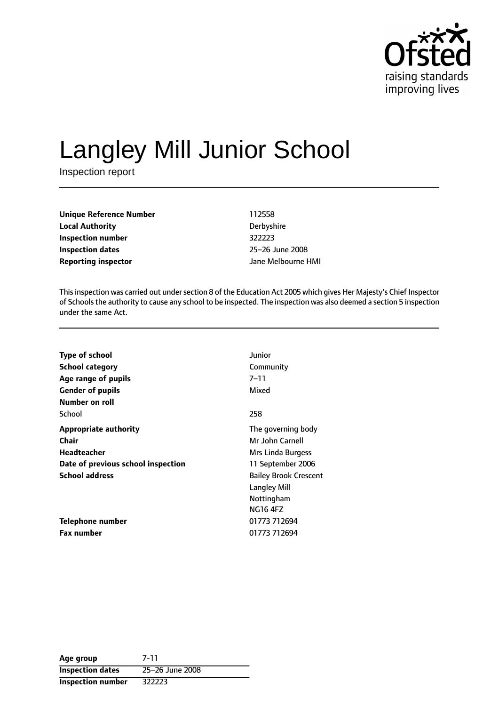

# Langley Mill Junior School

Inspection report

**Unique Reference Number** 112558 **Local Authority** Derbyshire **Inspection number** 322223 **Inspection dates** 25-26 June 2008 **Reporting inspector and a structure HMI** Jane Melbourne HMI

This inspection was carried out under section 8 of the Education Act 2005 which gives Her Majesty's Chief Inspector of Schoolsthe authority to cause any school to be inspected. The inspection was also deemed a section 5 inspection under the same Act.

| Type of school                     | Junior                       |
|------------------------------------|------------------------------|
| <b>School category</b>             | Community                    |
| Age range of pupils                | 7–11                         |
| <b>Gender of pupils</b>            | Mixed                        |
| Number on roll                     |                              |
| School                             | 258                          |
| <b>Appropriate authority</b>       | The governing body           |
| Chair                              | Mr John Carnell              |
| <b>Headteacher</b>                 | Mrs Linda Burgess            |
| Date of previous school inspection | 11 September 2006            |
| <b>School address</b>              | <b>Bailey Brook Crescent</b> |
|                                    | <b>Langley Mill</b>          |
|                                    | Nottingham                   |
|                                    | <b>NG16 4FZ</b>              |
| Telephone number                   | 01773 712694                 |
| <b>Fax number</b>                  | 01773 712694                 |

| Age group                | 7-11            |
|--------------------------|-----------------|
| <b>Inspection dates</b>  | 25-26 June 2008 |
| <b>Inspection number</b> | 322223          |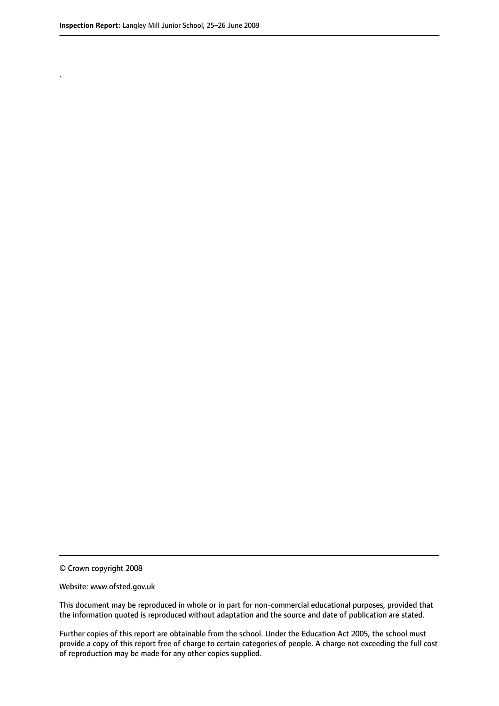.

© Crown copyright 2008

#### Website: www.ofsted.gov.uk

This document may be reproduced in whole or in part for non-commercial educational purposes, provided that the information quoted is reproduced without adaptation and the source and date of publication are stated.

Further copies of this report are obtainable from the school. Under the Education Act 2005, the school must provide a copy of this report free of charge to certain categories of people. A charge not exceeding the full cost of reproduction may be made for any other copies supplied.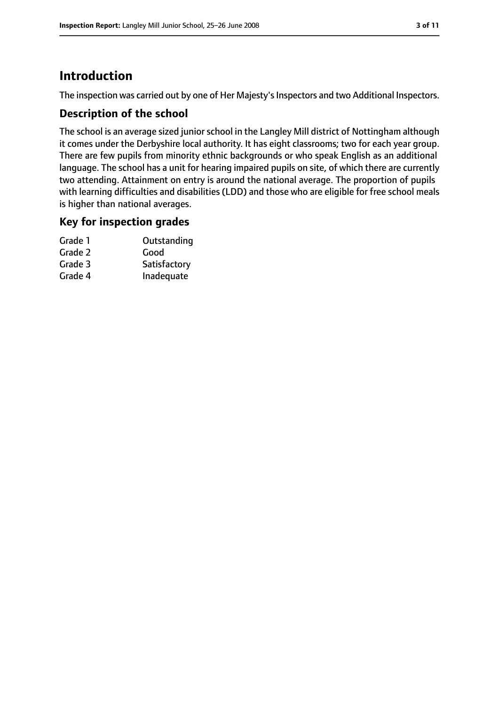# **Introduction**

The inspection was carried out by one of Her Majesty's Inspectors and two Additional Inspectors.

## **Description of the school**

The school is an average sized junior school in the Langley Mill district of Nottingham although it comes under the Derbyshire local authority. It has eight classrooms; two for each year group. There are few pupils from minority ethnic backgrounds or who speak English as an additional language. The school has a unit for hearing impaired pupils on site, of which there are currently two attending. Attainment on entry is around the national average. The proportion of pupils with learning difficulties and disabilities (LDD) and those who are eligible for free school meals is higher than national averages.

#### **Key for inspection grades**

| Outstanding  |
|--------------|
| Good         |
| Satisfactory |
| Inadequate   |
|              |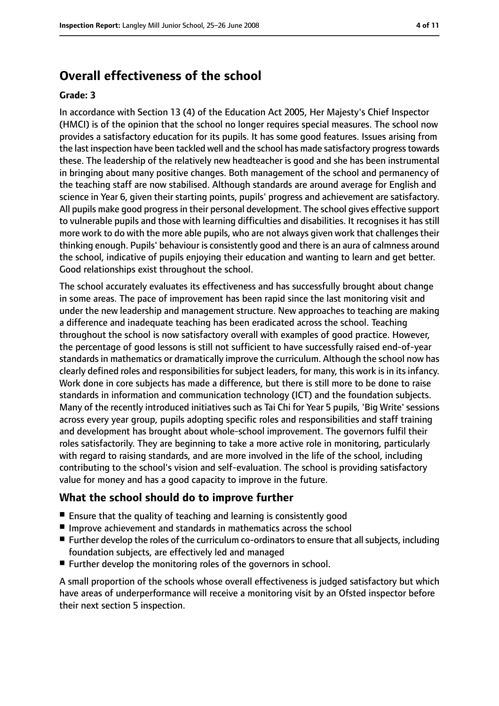## **Overall effectiveness of the school**

#### **Grade: 3**

In accordance with Section 13 (4) of the Education Act 2005, Her Majesty's Chief Inspector (HMCI) is of the opinion that the school no longer requires special measures. The school now provides a satisfactory education for its pupils. It has some good features. Issues arising from the last inspection have been tackled well and the school has made satisfactory progresstowards these. The leadership of the relatively new headteacher is good and she has been instrumental in bringing about many positive changes. Both management of the school and permanency of the teaching staff are now stabilised. Although standards are around average for English and science in Year 6, given their starting points, pupils' progress and achievement are satisfactory. All pupils make good progressin their personal development. The school gives effective support to vulnerable pupils and those with learning difficulties and disabilities. It recognises it has still more work to do with the more able pupils, who are not always given work that challenges their thinking enough. Pupils' behaviour is consistently good and there is an aura of calmness around the school, indicative of pupils enjoying their education and wanting to learn and get better. Good relationships exist throughout the school.

The school accurately evaluates its effectiveness and has successfully brought about change in some areas. The pace of improvement has been rapid since the last monitoring visit and under the new leadership and management structure. New approaches to teaching are making a difference and inadequate teaching has been eradicated across the school. Teaching throughout the school is now satisfactory overall with examples of good practice. However, the percentage of good lessons is still not sufficient to have successfully raised end-of-year standards in mathematics or dramatically improve the curriculum. Although the school now has clearly defined roles and responsibilities for subject leaders, for many, this work is in its infancy. Work done in core subjects has made a difference, but there is still more to be done to raise standards in information and communication technology (ICT) and the foundation subjects. Many of the recently introduced initiatives such as Tai Chi for Year 5 pupils, 'Big Write' sessions across every year group, pupils adopting specific roles and responsibilities and staff training and development has brought about whole-school improvement. The governors fulfil their roles satisfactorily. They are beginning to take a more active role in monitoring, particularly with regard to raising standards, and are more involved in the life of the school, including contributing to the school's vision and self-evaluation. The school is providing satisfactory value for money and has a good capacity to improve in the future.

#### **What the school should do to improve further**

- Ensure that the quality of teaching and learning is consistently good
- Improve achievement and standards in mathematics across the school
- Further develop the roles of the curriculum co-ordinators to ensure that all subjects, including foundation subjects, are effectively led and managed
- Further develop the monitoring roles of the governors in school.

A small proportion of the schools whose overall effectiveness is judged satisfactory but which have areas of underperformance will receive a monitoring visit by an Ofsted inspector before their next section 5 inspection.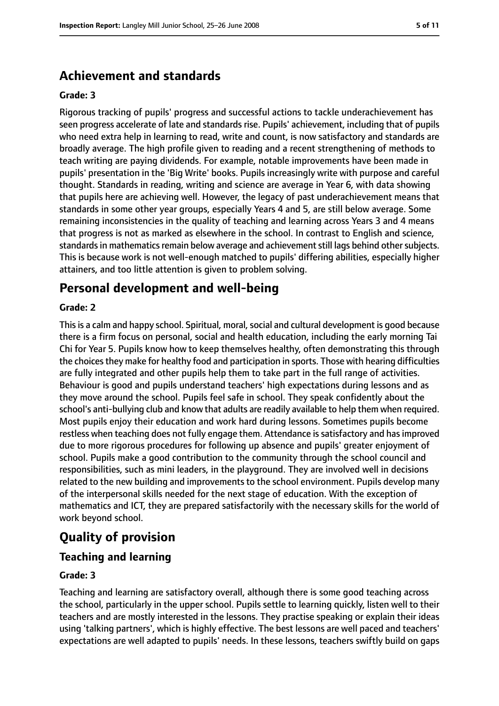## **Achievement and standards**

#### **Grade: 3**

Rigorous tracking of pupils' progress and successful actions to tackle underachievement has seen progress accelerate of late and standards rise. Pupils' achievement, including that of pupils who need extra help in learning to read, write and count, is now satisfactory and standards are broadly average. The high profile given to reading and a recent strengthening of methods to teach writing are paying dividends. For example, notable improvements have been made in pupils' presentation in the 'Big Write' books. Pupils increasingly write with purpose and careful thought. Standards in reading, writing and science are average in Year 6, with data showing that pupils here are achieving well. However, the legacy of past underachievement means that standards in some other year groups, especially Years 4 and 5, are still below average. Some remaining inconsistencies in the quality of teaching and learning across Years 3 and 4 means that progress is not as marked as elsewhere in the school. In contrast to English and science, standards in mathematics remain below average and achievement still lags behind other subjects. This is because work is not well-enough matched to pupils' differing abilities, especially higher attainers, and too little attention is given to problem solving.

## **Personal development and well-being**

#### **Grade: 2**

This is a calm and happy school. Spiritual, moral, social and cultural development is good because there is a firm focus on personal, social and health education, including the early morning Tai Chi for Year 5. Pupils know how to keep themselves healthy, often demonstrating this through the choices they make for healthy food and participation in sports. Those with hearing difficulties are fully integrated and other pupils help them to take part in the full range of activities. Behaviour is good and pupils understand teachers' high expectations during lessons and as they move around the school. Pupils feel safe in school. They speak confidently about the school's anti-bullying club and know that adults are readily available to help them when required. Most pupils enjoy their education and work hard during lessons. Sometimes pupils become restless when teaching does not fully engage them. Attendance is satisfactory and has improved due to more rigorous procedures for following up absence and pupils' greater enjoyment of school. Pupils make a good contribution to the community through the school council and responsibilities, such as mini leaders, in the playground. They are involved well in decisions related to the new building and improvements to the school environment. Pupils develop many of the interpersonal skills needed for the next stage of education. With the exception of mathematics and ICT, they are prepared satisfactorily with the necessary skills for the world of work beyond school.

# **Quality of provision**

## **Teaching and learning**

#### **Grade: 3**

Teaching and learning are satisfactory overall, although there is some good teaching across the school, particularly in the upper school. Pupils settle to learning quickly, listen well to their teachers and are mostly interested in the lessons. They practise speaking or explain their ideas using 'talking partners', which is highly effective. The best lessons are well paced and teachers' expectations are well adapted to pupils' needs. In these lessons, teachers swiftly build on gaps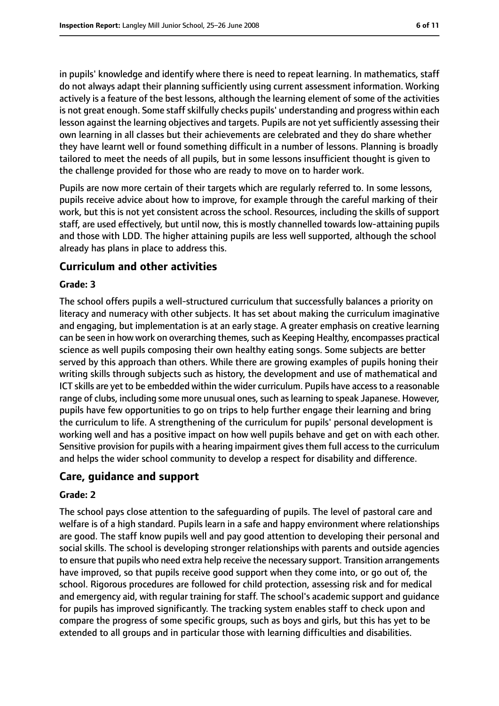in pupils' knowledge and identify where there is need to repeat learning. In mathematics, staff do not always adapt their planning sufficiently using current assessment information. Working actively is a feature of the best lessons, although the learning element of some of the activities is not great enough. Some staff skilfully checks pupils' understanding and progress within each lesson against the learning objectives and targets. Pupils are not yet sufficiently assessing their own learning in all classes but their achievements are celebrated and they do share whether they have learnt well or found something difficult in a number of lessons. Planning is broadly tailored to meet the needs of all pupils, but in some lessons insufficient thought is given to the challenge provided for those who are ready to move on to harder work.

Pupils are now more certain of their targets which are regularly referred to. In some lessons, pupils receive advice about how to improve, for example through the careful marking of their work, but this is not yet consistent across the school. Resources, including the skills of support staff, are used effectively, but until now, this is mostly channelled towards low-attaining pupils and those with LDD. The higher attaining pupils are less well supported, although the school already has plans in place to address this.

#### **Curriculum and other activities**

#### **Grade: 3**

The school offers pupils a well-structured curriculum that successfully balances a priority on literacy and numeracy with other subjects. It has set about making the curriculum imaginative and engaging, but implementation is at an early stage. A greater emphasis on creative learning can be seen in how work on overarching themes, such as Keeping Healthy, encompasses practical science as well pupils composing their own healthy eating songs. Some subjects are better served by this approach than others. While there are growing examples of pupils honing their writing skills through subjects such as history, the development and use of mathematical and ICT skills are yet to be embedded within the wider curriculum. Pupils have accessto a reasonable range of clubs, including some more unusual ones, such as learning to speak Japanese. However, pupils have few opportunities to go on trips to help further engage their learning and bring the curriculum to life. A strengthening of the curriculum for pupils' personal development is working well and has a positive impact on how well pupils behave and get on with each other. Sensitive provision for pupils with a hearing impairment gives them full access to the curriculum and helps the wider school community to develop a respect for disability and difference.

#### **Care, guidance and support**

#### **Grade: 2**

The school pays close attention to the safeguarding of pupils. The level of pastoral care and welfare is of a high standard. Pupils learn in a safe and happy environment where relationships are good. The staff know pupils well and pay good attention to developing their personal and social skills. The school is developing stronger relationships with parents and outside agencies to ensure that pupils who need extra help receive the necessary support. Transition arrangements have improved, so that pupils receive good support when they come into, or go out of, the school. Rigorous procedures are followed for child protection, assessing risk and for medical and emergency aid, with regular training for staff. The school's academic support and guidance for pupils has improved significantly. The tracking system enables staff to check upon and compare the progress of some specific groups, such as boys and girls, but this has yet to be extended to all groups and in particular those with learning difficulties and disabilities.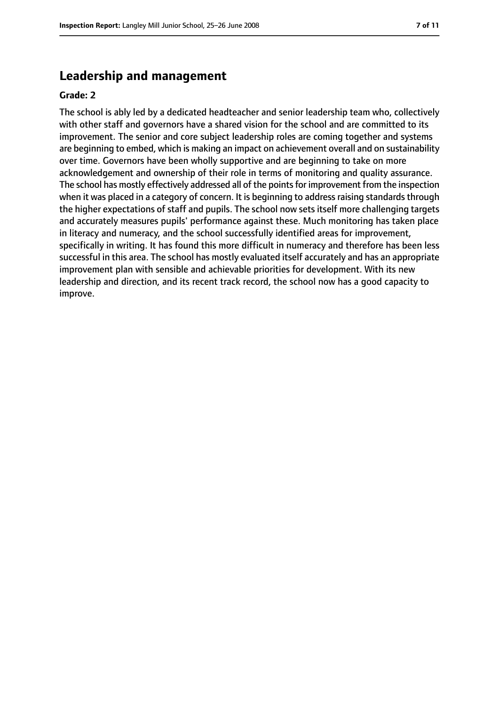## **Leadership and management**

#### **Grade: 2**

The school is ably led by a dedicated headteacher and senior leadership team who, collectively with other staff and governors have a shared vision for the school and are committed to its improvement. The senior and core subject leadership roles are coming together and systems are beginning to embed, which is making an impact on achievement overall and on sustainability over time. Governors have been wholly supportive and are beginning to take on more acknowledgement and ownership of their role in terms of monitoring and quality assurance. The school has mostly effectively addressed all of the points for improvement from the inspection when it was placed in a category of concern. It is beginning to address raising standards through the higher expectations of staff and pupils. The school now sets itself more challenging targets and accurately measures pupils' performance against these. Much monitoring has taken place in literacy and numeracy, and the school successfully identified areas for improvement, specifically in writing. It has found this more difficult in numeracy and therefore has been less successful in this area. The school has mostly evaluated itself accurately and has an appropriate improvement plan with sensible and achievable priorities for development. With its new leadership and direction, and its recent track record, the school now has a good capacity to improve.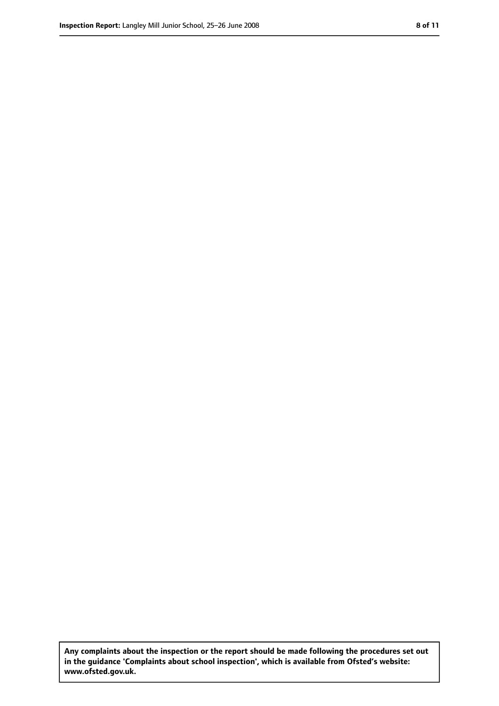**Any complaints about the inspection or the report should be made following the procedures set out in the guidance 'Complaints about school inspection', which is available from Ofsted's website: www.ofsted.gov.uk.**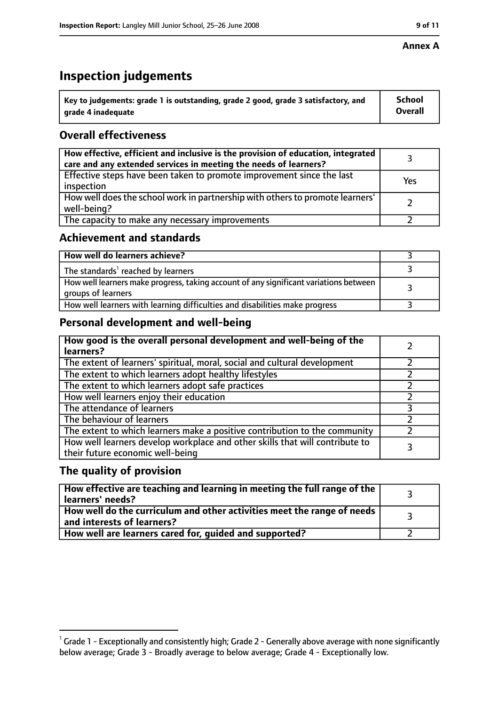#### **Annex A**

# **Inspection judgements**

| $^{\backprime}$ Key to judgements: grade 1 is outstanding, grade 2 good, grade 3 satisfactory, and | <b>School</b>  |
|----------------------------------------------------------------------------------------------------|----------------|
| arade 4 inadequate                                                                                 | <b>Overall</b> |

## **Overall effectiveness**

| How effective, efficient and inclusive is the provision of education, integrated<br>care and any extended services in meeting the needs of learners? |     |
|------------------------------------------------------------------------------------------------------------------------------------------------------|-----|
| Effective steps have been taken to promote improvement since the last<br>inspection                                                                  | Yes |
| How well does the school work in partnership with others to promote learners'<br>well-being?                                                         |     |
| The capacity to make any necessary improvements                                                                                                      |     |

## **Achievement and standards**

| How well do learners achieve?                                                                               |  |
|-------------------------------------------------------------------------------------------------------------|--|
| The standards <sup>1</sup> reached by learners                                                              |  |
| How well learners make progress, taking account of any significant variations between<br>groups of learners |  |
| How well learners with learning difficulties and disabilities make progress                                 |  |

## **Personal development and well-being**

| How good is the overall personal development and well-being of the<br>learners?                                  |   |
|------------------------------------------------------------------------------------------------------------------|---|
| The extent of learners' spiritual, moral, social and cultural development                                        |   |
| The extent to which learners adopt healthy lifestyles                                                            |   |
| The extent to which learners adopt safe practices                                                                |   |
| How well learners enjoy their education                                                                          |   |
| The attendance of learners                                                                                       | っ |
| The behaviour of learners                                                                                        |   |
| The extent to which learners make a positive contribution to the community                                       |   |
| How well learners develop workplace and other skills that will contribute to<br>their future economic well-being |   |

#### **The quality of provision**

| How effective are teaching and learning in meeting the full range of the<br>learners' needs?                        |  |
|---------------------------------------------------------------------------------------------------------------------|--|
| How well do the curriculum and other activities meet the range of needs<br>$^{\text{!}}$ and interests of learners? |  |
| How well are learners cared for, guided and supported?                                                              |  |

 $^1$  Grade 1 - Exceptionally and consistently high; Grade 2 - Generally above average with none significantly below average; Grade 3 - Broadly average to below average; Grade 4 - Exceptionally low.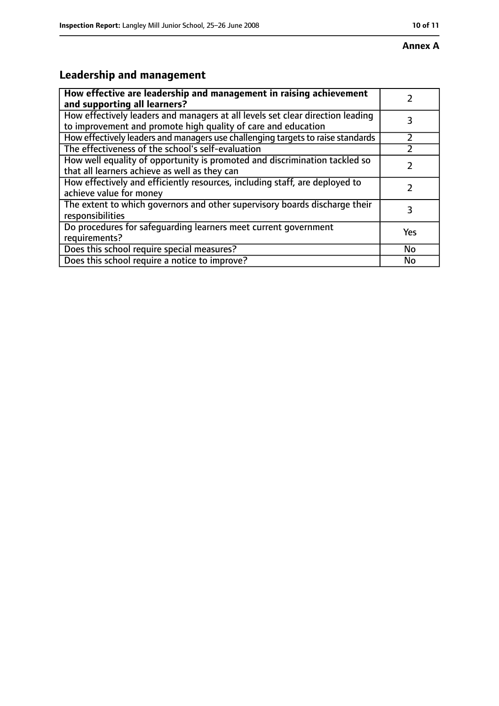# **Leadership and management**

| How effective are leadership and management in raising achievement              |     |
|---------------------------------------------------------------------------------|-----|
| and supporting all learners?                                                    |     |
| How effectively leaders and managers at all levels set clear direction leading  |     |
| to improvement and promote high quality of care and education                   |     |
| How effectively leaders and managers use challenging targets to raise standards |     |
| The effectiveness of the school's self-evaluation                               |     |
| How well equality of opportunity is promoted and discrimination tackled so      |     |
| that all learners achieve as well as they can                                   |     |
| How effectively and efficiently resources, including staff, are deployed to     | 7   |
| achieve value for money                                                         |     |
| The extent to which governors and other supervisory boards discharge their      | 3   |
| responsibilities                                                                |     |
| Do procedures for safequarding learners meet current government                 | Yes |
| requirements?                                                                   |     |
| Does this school require special measures?                                      | No  |
| Does this school require a notice to improve?                                   | No  |